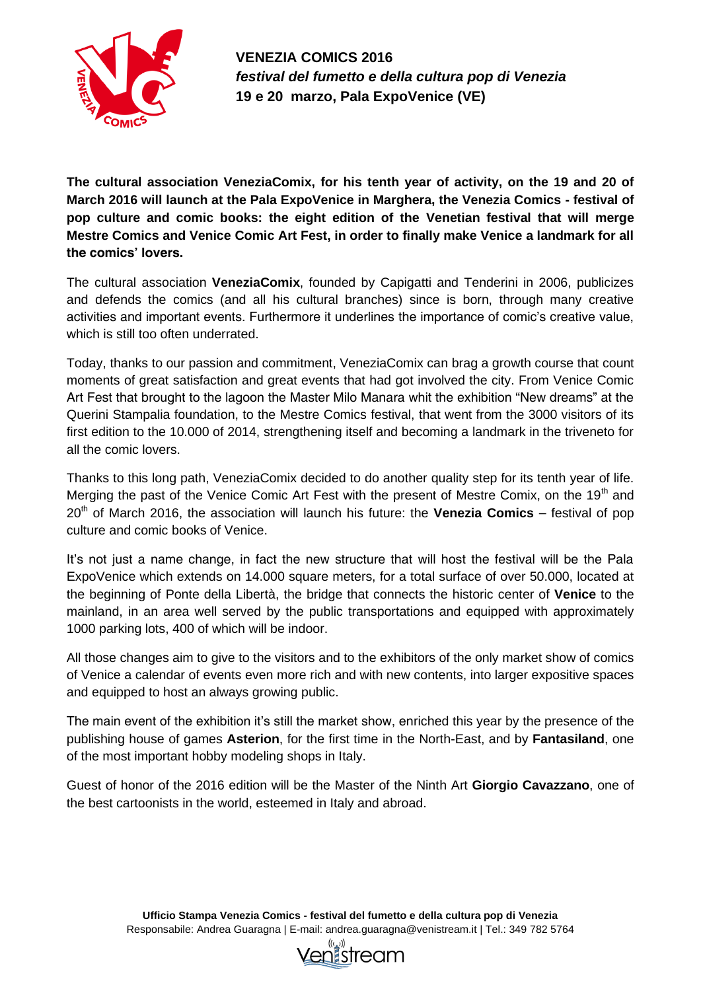

**VENEZIA COMICS 2016** *festival del fumetto e della cultura pop di Venezia* **19 e 20 marzo, Pala ExpoVenice (VE)**

**The cultural association VeneziaComix, for his tenth year of activity, on the 19 and 20 of March 2016 will launch at the Pala ExpoVenice in Marghera, the Venezia Comics - festival of pop culture and comic books: the eight edition of the Venetian festival that will merge Mestre Comics and Venice Comic Art Fest, in order to finally make Venice a landmark for all the comics' lovers.**

The cultural association **VeneziaComix**, founded by Capigatti and Tenderini in 2006, publicizes and defends the comics (and all his cultural branches) since is born, through many creative activities and important events. Furthermore it underlines the importance of comic's creative value, which is still too often underrated.

Today, thanks to our passion and commitment, VeneziaComix can brag a growth course that count moments of great satisfaction and great events that had got involved the city. From Venice Comic Art Fest that brought to the lagoon the Master Milo Manara whit the exhibition "New dreams" at the Querini Stampalia foundation, to the Mestre Comics festival, that went from the 3000 visitors of its first edition to the 10.000 of 2014, strengthening itself and becoming a landmark in the triveneto for all the comic lovers.

Thanks to this long path, VeneziaComix decided to do another quality step for its tenth year of life. Merging the past of the Venice Comic Art Fest with the present of Mestre Comix, on the 19<sup>th</sup> and 20th of March 2016, the association will launch his future: the **Venezia Comics** – festival of pop culture and comic books of Venice.

It's not just a name change, in fact the new structure that will host the festival will be the Pala ExpoVenice which extends on 14.000 square meters, for a total surface of over 50.000, located at the beginning of Ponte della Libertà, the bridge that connects the historic center of **Venice** to the mainland, in an area well served by the public transportations and equipped with approximately 1000 parking lots, 400 of which will be indoor.

All those changes aim to give to the visitors and to the exhibitors of the only market show of comics of Venice a calendar of events even more rich and with new contents, into larger expositive spaces and equipped to host an always growing public.

The main event of the exhibition it's still the market show, enriched this year by the presence of the publishing house of games **Asterion**, for the first time in the North-East, and by **Fantasiland**, one of the most important hobby modeling shops in Italy.

Guest of honor of the 2016 edition will be the Master of the Ninth Art **Giorgio Cavazzano**, one of the best cartoonists in the world, esteemed in Italy and abroad.

> **Ufficio Stampa Venezia Comics - festival del fumetto e della cultura pop di Venezia** Responsabile: Andrea Guaragna | E-mail: andrea.guaragna@venistream.it | Tel.: 349 782 5764

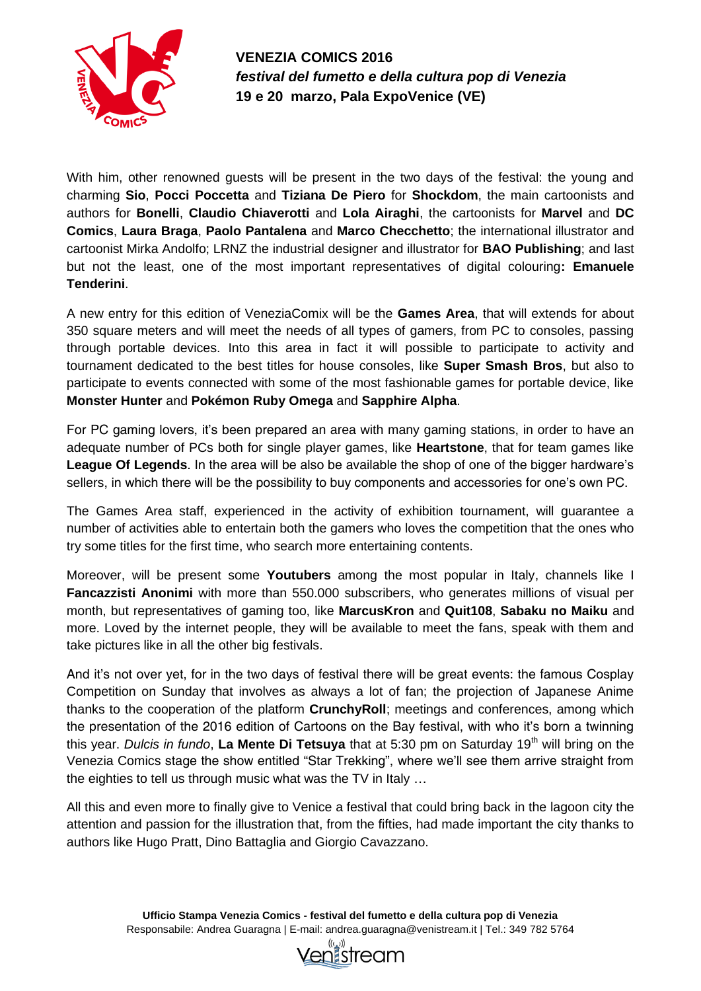

**VENEZIA COMICS 2016** *festival del fumetto e della cultura pop di Venezia* **19 e 20 marzo, Pala ExpoVenice (VE)**

With him, other renowned guests will be present in the two days of the festival: the young and charming **Sio**, **Pocci Poccetta** and **Tiziana De Piero** for **Shockdom**, the main cartoonists and authors for **Bonelli**, **Claudio Chiaverotti** and **Lola Airaghi**, the cartoonists for **Marvel** and **DC Comics**, **Laura Braga**, **Paolo Pantalena** and **Marco Checchetto**; the international illustrator and cartoonist Mirka Andolfo; LRNZ the industrial designer and illustrator for **BAO Publishing**; and last but not the least, one of the most important representatives of digital colouring**: Emanuele Tenderini**.

A new entry for this edition of VeneziaComix will be the **Games Area**, that will extends for about 350 square meters and will meet the needs of all types of gamers, from PC to consoles, passing through portable devices. Into this area in fact it will possible to participate to activity and tournament dedicated to the best titles for house consoles, like **Super Smash Bros**, but also to participate to events connected with some of the most fashionable games for portable device, like **Monster Hunter** and **Pokémon Ruby Omega** and **Sapphire Alpha**.

For PC gaming lovers, it's been prepared an area with many gaming stations, in order to have an adequate number of PCs both for single player games, like **Heartstone**, that for team games like **League Of Legends.** In the area will be also be available the shop of one of the bigger hardware's sellers, in which there will be the possibility to buy components and accessories for one's own PC.

The Games Area staff, experienced in the activity of exhibition tournament, will guarantee a number of activities able to entertain both the gamers who loves the competition that the ones who try some titles for the first time, who search more entertaining contents.

Moreover, will be present some **Youtubers** among the most popular in Italy, channels like I **Fancazzisti Anonimi** with more than 550.000 subscribers, who generates millions of visual per month, but representatives of gaming too, like **MarcusKron** and **Quit108**, **Sabaku no Maiku** and more. Loved by the internet people, they will be available to meet the fans, speak with them and take pictures like in all the other big festivals.

And it's not over yet, for in the two days of festival there will be great events: the famous Cosplay Competition on Sunday that involves as always a lot of fan; the projection of Japanese Anime thanks to the cooperation of the platform **CrunchyRoll**; meetings and conferences, among which the presentation of the 2016 edition of Cartoons on the Bay festival, with who it's born a twinning this year. *Dulcis in fundo*, La Mente Di Tetsuva that at 5:30 pm on Saturday 19<sup>th</sup> will bring on the Venezia Comics stage the show entitled "Star Trekking", where we'll see them arrive straight from the eighties to tell us through music what was the TV in Italy …

All this and even more to finally give to Venice a festival that could bring back in the lagoon city the attention and passion for the illustration that, from the fifties, had made important the city thanks to authors like Hugo Pratt, Dino Battaglia and Giorgio Cavazzano.